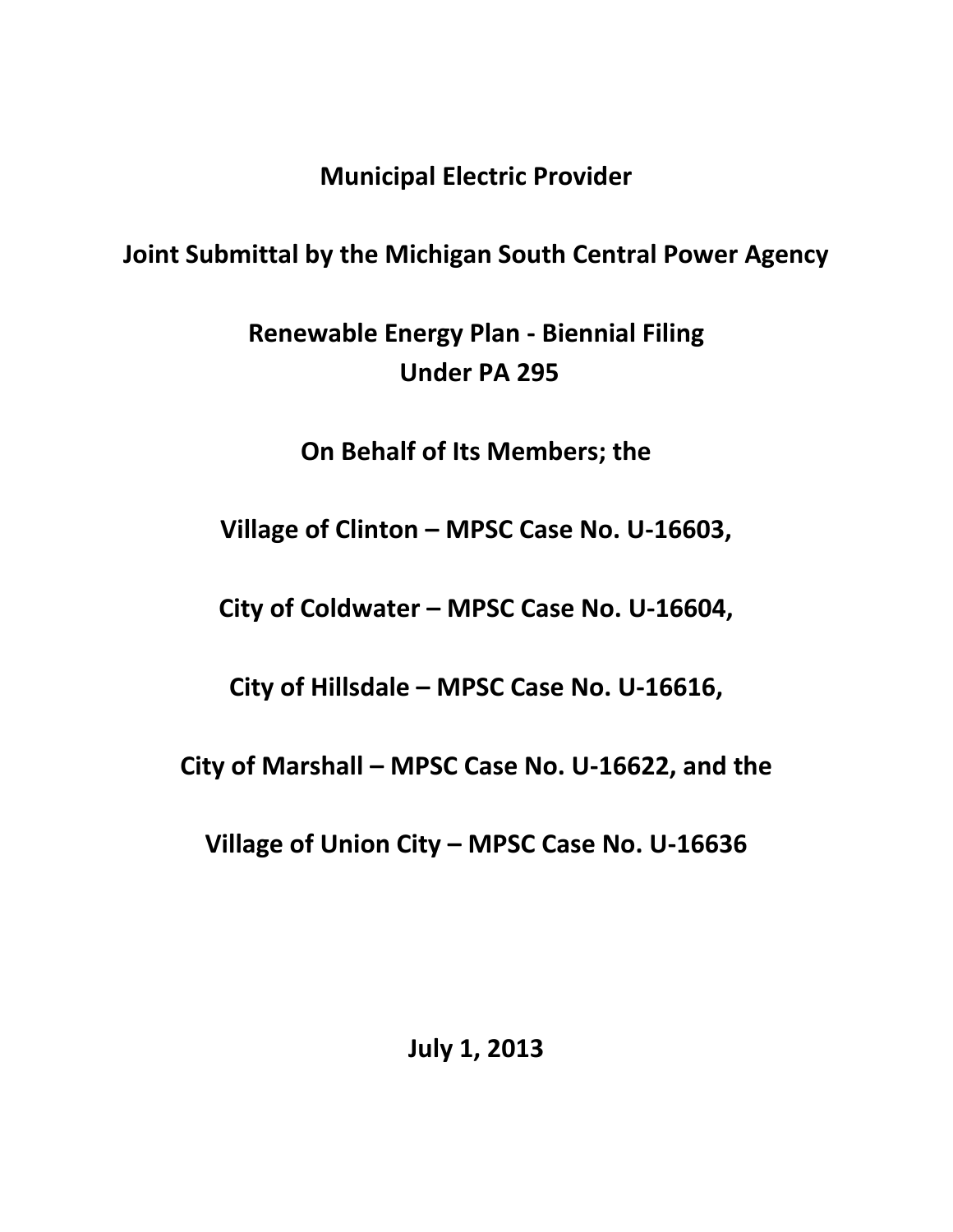**Municipal Electric Provider**

# **Joint Submittal by the Michigan South Central Power Agency**

**Renewable Energy Plan - Biennial Filing Under PA 295**

**On Behalf of Its Members; the**

**Village of Clinton – MPSC Case No. U-16603,**

**City of Coldwater – MPSC Case No. U-16604,**

**City of Hillsdale – MPSC Case No. U-16616,**

**City of Marshall – MPSC Case No. U-16622, and the**

**Village of Union City – MPSC Case No. U-16636**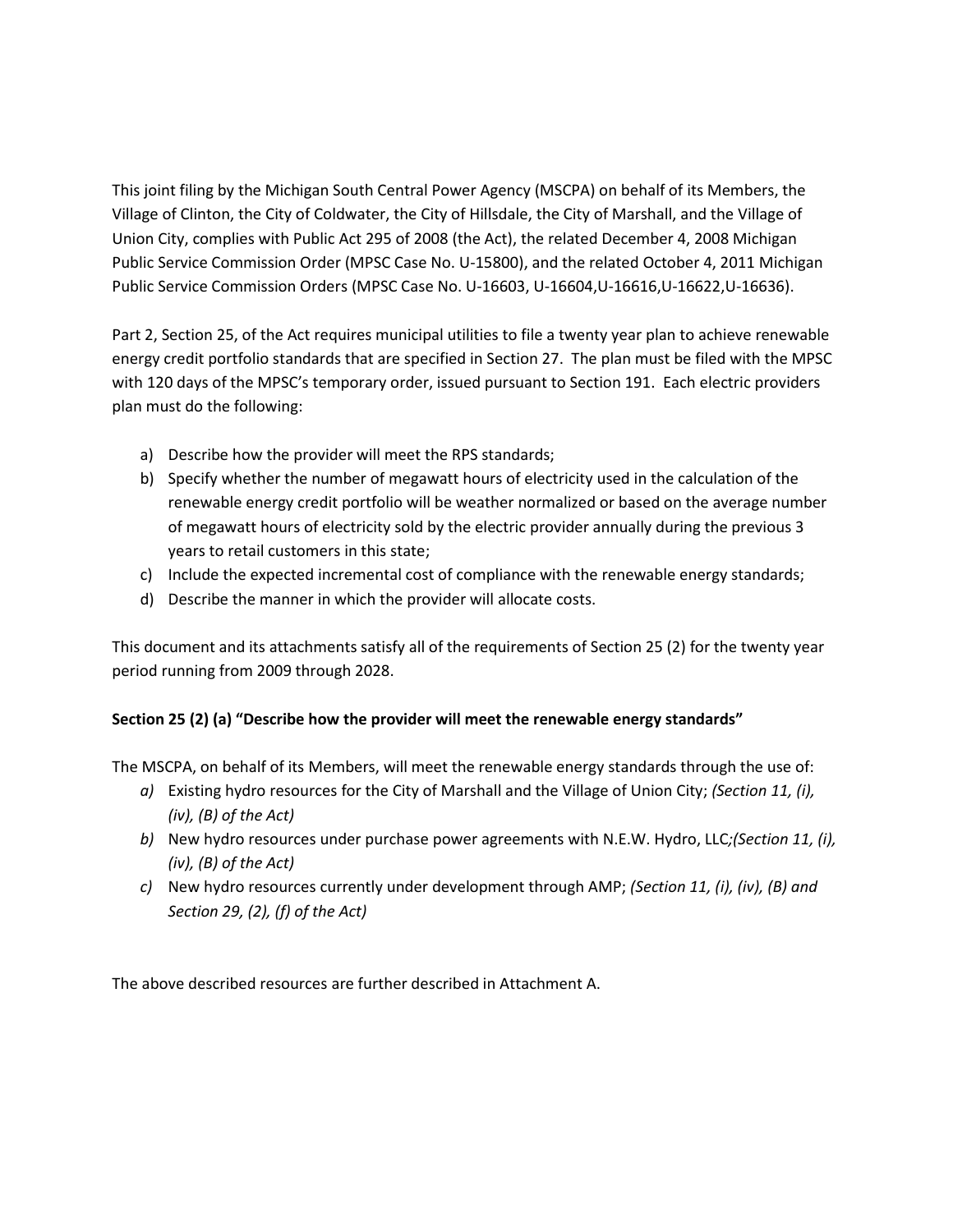This joint filing by the Michigan South Central Power Agency (MSCPA) on behalf of its Members, the Village of Clinton, the City of Coldwater, the City of Hillsdale, the City of Marshall, and the Village of Union City, complies with Public Act 295 of 2008 (the Act), the related December 4, 2008 Michigan Public Service Commission Order (MPSC Case No. U-15800), and the related October 4, 2011 Michigan Public Service Commission Orders (MPSC Case No. U-16603, U-16604,U-16616,U-16622,U-16636).

Part 2, Section 25, of the Act requires municipal utilities to file a twenty year plan to achieve renewable energy credit portfolio standards that are specified in Section 27. The plan must be filed with the MPSC with 120 days of the MPSC's temporary order, issued pursuant to Section 191. Each electric providers plan must do the following:

- a) Describe how the provider will meet the RPS standards;
- b) Specify whether the number of megawatt hours of electricity used in the calculation of the renewable energy credit portfolio will be weather normalized or based on the average number of megawatt hours of electricity sold by the electric provider annually during the previous 3 years to retail customers in this state;
- c) Include the expected incremental cost of compliance with the renewable energy standards;
- d) Describe the manner in which the provider will allocate costs.

This document and its attachments satisfy all of the requirements of Section 25 (2) for the twenty year period running from 2009 through 2028.

## **Section 25 (2) (a) "Describe how the provider will meet the renewable energy standards"**

The MSCPA, on behalf of its Members, will meet the renewable energy standards through the use of:

- *a)* Existing hydro resources for the City of Marshall and the Village of Union City; *(Section 11, (i), (iv), (B) of the Act)*
- *b)* New hydro resources under purchase power agreements with N.E.W. Hydro, LLC*;(Section 11, (i), (iv), (B) of the Act)*
- *c)* New hydro resources currently under development through AMP; *(Section 11, (i), (iv), (B) and Section 29, (2), (f) of the Act)*

The above described resources are further described in Attachment A.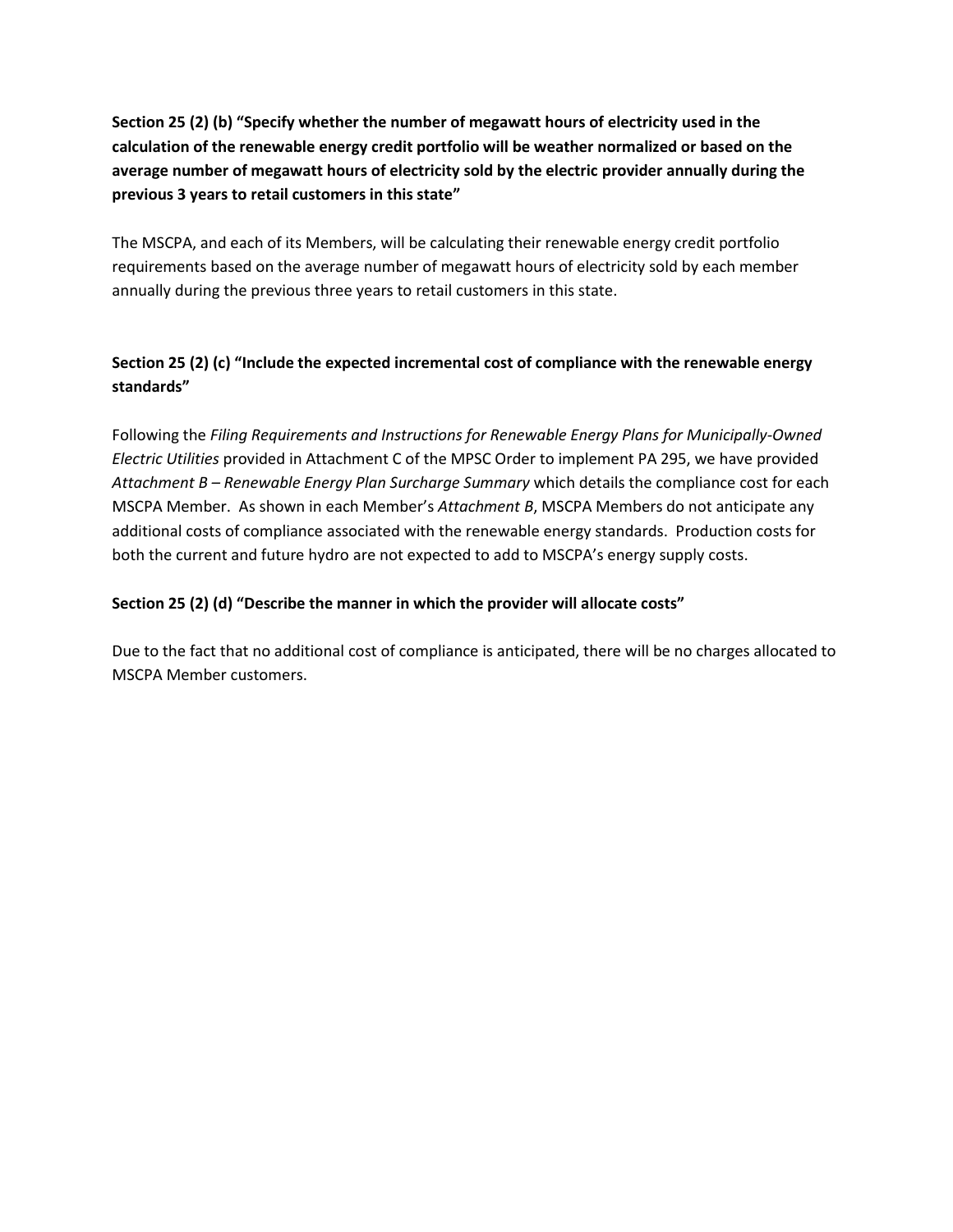**Section 25 (2) (b) "Specify whether the number of megawatt hours of electricity used in the calculation of the renewable energy credit portfolio will be weather normalized or based on the average number of megawatt hours of electricity sold by the electric provider annually during the previous 3 years to retail customers in this state"**

The MSCPA, and each of its Members, will be calculating their renewable energy credit portfolio requirements based on the average number of megawatt hours of electricity sold by each member annually during the previous three years to retail customers in this state.

# **Section 25 (2) (c) "Include the expected incremental cost of compliance with the renewable energy standards"**

Following the *Filing Requirements and Instructions for Renewable Energy Plans for Municipally-Owned Electric Utilities* provided in Attachment C of the MPSC Order to implement PA 295, we have provided *Attachment B – Renewable Energy Plan Surcharge Summary* which details the compliance cost for each MSCPA Member. As shown in each Member's *Attachment B*, MSCPA Members do not anticipate any additional costs of compliance associated with the renewable energy standards. Production costs for both the current and future hydro are not expected to add to MSCPA's energy supply costs.

## **Section 25 (2) (d) "Describe the manner in which the provider will allocate costs"**

Due to the fact that no additional cost of compliance is anticipated, there will be no charges allocated to MSCPA Member customers.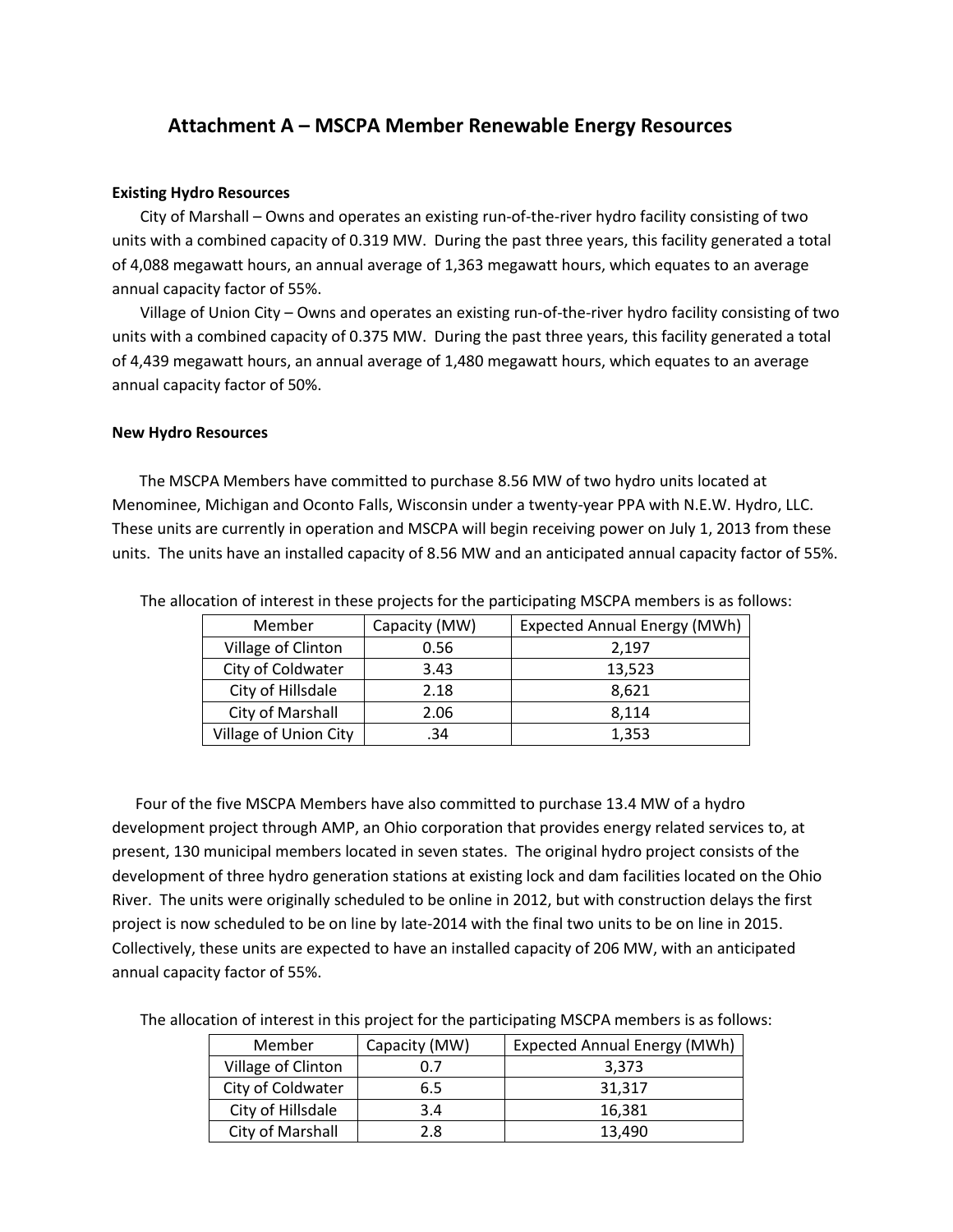# **Attachment A – MSCPA Member Renewable Energy Resources**

#### **Existing Hydro Resources**

City of Marshall – Owns and operates an existing run-of-the-river hydro facility consisting of two units with a combined capacity of 0.319 MW. During the past three years, this facility generated a total of 4,088 megawatt hours, an annual average of 1,363 megawatt hours, which equates to an average annual capacity factor of 55%.

Village of Union City – Owns and operates an existing run-of-the-river hydro facility consisting of two units with a combined capacity of 0.375 MW. During the past three years, this facility generated a total of 4,439 megawatt hours, an annual average of 1,480 megawatt hours, which equates to an average annual capacity factor of 50%.

#### **New Hydro Resources**

 The MSCPA Members have committed to purchase 8.56 MW of two hydro units located at Menominee, Michigan and Oconto Falls, Wisconsin under a twenty-year PPA with N.E.W. Hydro, LLC. These units are currently in operation and MSCPA will begin receiving power on July 1, 2013 from these units. The units have an installed capacity of 8.56 MW and an anticipated annual capacity factor of 55%.

| Member                | Capacity (MW) | <b>Expected Annual Energy (MWh)</b> |
|-----------------------|---------------|-------------------------------------|
| Village of Clinton    | 0.56          | 2,197                               |
| City of Coldwater     | 3.43          | 13,523                              |
| City of Hillsdale     | 2.18          | 8.621                               |
| City of Marshall      | 2.06          | 8.114                               |
| Village of Union City | .34           | 1,353                               |

The allocation of interest in these projects for the participating MSCPA members is as follows:

 Four of the five MSCPA Members have also committed to purchase 13.4 MW of a hydro development project through AMP, an Ohio corporation that provides energy related services to, at present, 130 municipal members located in seven states. The original hydro project consists of the development of three hydro generation stations at existing lock and dam facilities located on the Ohio River. The units were originally scheduled to be online in 2012, but with construction delays the first project is now scheduled to be on line by late-2014 with the final two units to be on line in 2015. Collectively, these units are expected to have an installed capacity of 206 MW, with an anticipated annual capacity factor of 55%.

The allocation of interest in this project for the participating MSCPA members is as follows:

| Member             | Capacity (MW) | <b>Expected Annual Energy (MWh)</b> |
|--------------------|---------------|-------------------------------------|
| Village of Clinton | 0.7           | 3.373                               |
| City of Coldwater  | 6.5           | 31.317                              |
| City of Hillsdale  | 3.4           | 16.381                              |
| City of Marshall   | 2.8           | 13.490                              |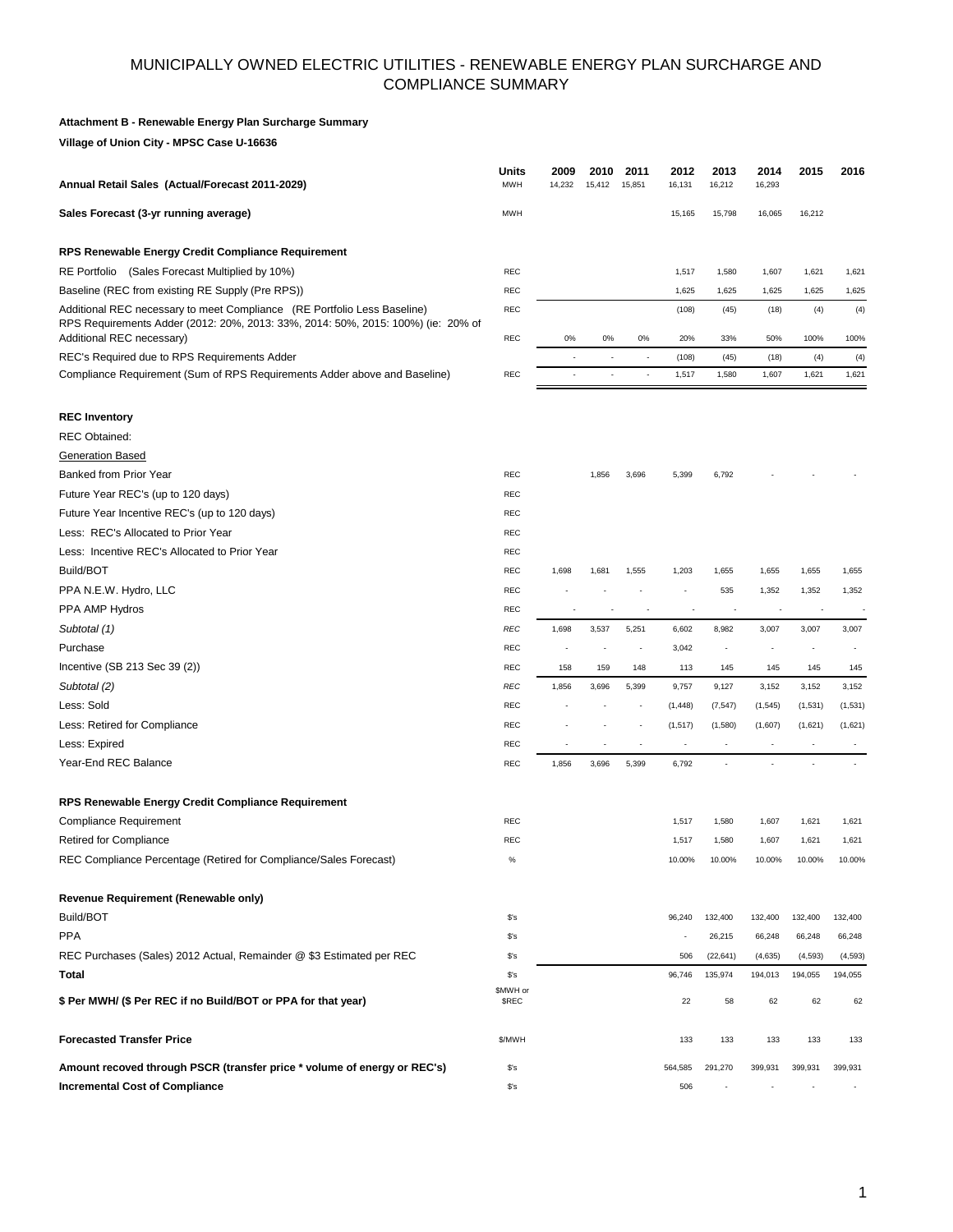### MUNICIPALLY OWNED ELECTRIC UTILITIES - RENEWABLE ENERGY PLAN SURCHARGE AND COMPLIANCE SUMMARY

#### **Attachment B - Renewable Energy Plan Surcharge Summary**

**Village of Union City - MPSC Case U-16636**

| Annual Retail Sales (Actual/Forecast 2011-2029)                                                                                                                                           | Units<br><b>MWH</b>      | 2009<br>14,232           | 2010<br>15,412           | 2011<br>15,851           | 2012<br>16,131  | 2013<br>16,212           | 2014<br>16,293           | 2015                     | 2016            |
|-------------------------------------------------------------------------------------------------------------------------------------------------------------------------------------------|--------------------------|--------------------------|--------------------------|--------------------------|-----------------|--------------------------|--------------------------|--------------------------|-----------------|
| Sales Forecast (3-yr running average)                                                                                                                                                     | <b>MWH</b>               |                          |                          |                          | 15,165          | 15,798                   | 16,065                   | 16,212                   |                 |
| RPS Renewable Energy Credit Compliance Requirement                                                                                                                                        |                          |                          |                          |                          |                 |                          |                          |                          |                 |
| RE Portfolio (Sales Forecast Multiplied by 10%)                                                                                                                                           | <b>REC</b>               |                          |                          |                          | 1,517           | 1,580                    | 1,607                    | 1,621                    | 1,621           |
| Baseline (REC from existing RE Supply (Pre RPS))                                                                                                                                          | <b>REC</b>               |                          |                          |                          | 1,625           | 1,625                    | 1,625                    | 1,625                    | 1,625           |
| Additional REC necessary to meet Compliance (RE Portfolio Less Baseline)<br>RPS Requirements Adder (2012: 20%, 2013: 33%, 2014: 50%, 2015: 100%) (ie: 20% of<br>Additional REC necessary) | <b>REC</b><br><b>REC</b> | 0%                       | 0%                       | 0%                       | (108)<br>20%    | (45)<br>33%              | (18)<br>50%              | (4)<br>100%              | (4)<br>100%     |
| REC's Required due to RPS Requirements Adder                                                                                                                                              |                          |                          |                          |                          |                 |                          |                          |                          |                 |
| Compliance Requirement (Sum of RPS Requirements Adder above and Baseline)                                                                                                                 | <b>REC</b>               | $\overline{\phantom{a}}$ | $\overline{\phantom{a}}$ | $\overline{\phantom{a}}$ | (108)<br>1,517  | (45)<br>1,580            | (18)<br>1,607            | (4)<br>1,621             | (4)<br>1,621    |
| <b>REC Inventory</b>                                                                                                                                                                      |                          |                          |                          |                          |                 |                          |                          |                          |                 |
| <b>REC Obtained:</b>                                                                                                                                                                      |                          |                          |                          |                          |                 |                          |                          |                          |                 |
| <b>Generation Based</b>                                                                                                                                                                   |                          |                          |                          |                          |                 |                          |                          |                          |                 |
| <b>Banked from Prior Year</b>                                                                                                                                                             | <b>REC</b>               |                          | 1,856                    | 3,696                    | 5,399           | 6,792                    |                          |                          |                 |
| Future Year REC's (up to 120 days)                                                                                                                                                        | <b>REC</b>               |                          |                          |                          |                 |                          |                          |                          |                 |
| Future Year Incentive REC's (up to 120 days)                                                                                                                                              | <b>REC</b>               |                          |                          |                          |                 |                          |                          |                          |                 |
| Less: REC's Allocated to Prior Year                                                                                                                                                       | REC                      |                          |                          |                          |                 |                          |                          |                          |                 |
| Less: Incentive REC's Allocated to Prior Year                                                                                                                                             | <b>REC</b>               |                          |                          |                          |                 |                          |                          |                          |                 |
| Build/BOT                                                                                                                                                                                 | <b>REC</b>               | 1,698                    | 1,681                    | 1,555                    | 1,203           | 1,655                    | 1,655                    | 1,655                    | 1,655           |
| PPA N.E.W. Hydro, LLC                                                                                                                                                                     | <b>REC</b>               |                          |                          |                          |                 | 535                      | 1,352                    | 1,352                    | 1,352           |
| PPA AMP Hydros                                                                                                                                                                            | <b>REC</b>               |                          |                          |                          |                 | J.                       |                          |                          |                 |
| Subtotal (1)                                                                                                                                                                              | <b>REC</b>               | 1,698                    | 3,537                    | 5,251                    | 6,602           | 8,982                    | 3,007                    | 3,007                    | 3,007           |
| Purchase                                                                                                                                                                                  | <b>REC</b>               |                          |                          | $\overline{a}$           | 3,042           | $\overline{\phantom{a}}$ |                          | $\overline{\phantom{a}}$ |                 |
| Incentive (SB 213 Sec 39 (2))                                                                                                                                                             | <b>REC</b>               | 158                      | 159                      | 148                      | 113             | 145                      | 145                      | 145                      | 145             |
| Subtotal (2)                                                                                                                                                                              | <b>REC</b>               | 1,856                    | 3,696                    | 5,399                    | 9,757           | 9,127                    | 3,152                    | 3,152                    | 3,152           |
| Less: Sold                                                                                                                                                                                | <b>REC</b>               |                          |                          |                          | (1, 448)        | (7, 547)                 | (1, 545)                 | (1,531)                  | (1,531)         |
| Less: Retired for Compliance                                                                                                                                                              | <b>REC</b>               |                          |                          |                          | (1, 517)        | (1,580)                  | (1,607)                  | (1,621)                  | (1,621)         |
| Less: Expired                                                                                                                                                                             | <b>REC</b>               |                          |                          | $\overline{\phantom{a}}$ |                 |                          |                          |                          |                 |
| Year-End REC Balance                                                                                                                                                                      | REC                      | 1,856                    | 3,696                    | 5,399                    | 6,792           |                          |                          |                          |                 |
| RPS Renewable Energy Credit Compliance Requirement                                                                                                                                        |                          |                          |                          |                          |                 |                          |                          |                          |                 |
| <b>Compliance Requirement</b>                                                                                                                                                             | <b>REC</b>               |                          |                          |                          | 1,517           | 1,580                    | 1,607                    | 1,621                    | 1,621           |
| <b>Retired for Compliance</b><br>REC Compliance Percentage (Retired for Compliance/Sales Forecast)                                                                                        | <b>REC</b><br>℅          |                          |                          |                          | 1,517<br>10.00% | 1,580<br>10.00%          | 1,607<br>10.00%          | 1,621<br>10.00%          | 1,621<br>10.00% |
| Revenue Requirement (Renewable only)                                                                                                                                                      |                          |                          |                          |                          |                 |                          |                          |                          |                 |
| Build/BOT                                                                                                                                                                                 | \$'s                     |                          |                          |                          | 96,240          | 132,400                  | 132,400                  | 132,400                  | 132,400         |
| <b>PPA</b>                                                                                                                                                                                | \$'s                     |                          |                          |                          |                 | 26,215                   | 66,248                   | 66,248                   | 66,248          |
| REC Purchases (Sales) 2012 Actual, Remainder @ \$3 Estimated per REC                                                                                                                      | \$'s                     |                          |                          |                          | 506             | (22, 641)                | (4,635)                  | (4, 593)                 | (4, 593)        |
| Total                                                                                                                                                                                     | $s$ 's                   |                          |                          |                          | 96,746          | 135,974                  | 194,013                  | 194,055                  | 194,055         |
| \$ Per MWH/ (\$ Per REC if no Build/BOT or PPA for that year)                                                                                                                             | \$MWH or<br><b>SREC</b>  |                          |                          |                          | 22              | 58                       | 62                       | 62                       | 62              |
| <b>Forecasted Transfer Price</b>                                                                                                                                                          | \$/MWH                   |                          |                          |                          | 133             | 133                      | 133                      | 133                      | 133             |
| Amount recoved through PSCR (transfer price * volume of energy or REC's)                                                                                                                  | $s$ 's                   |                          |                          |                          | 564,585         | 291,270                  | 399,931                  | 399,931                  | 399,931         |
| <b>Incremental Cost of Compliance</b>                                                                                                                                                     | $s$ 's                   |                          |                          |                          | 506             | $\overline{\phantom{a}}$ | $\overline{\phantom{a}}$ | $\overline{\phantom{a}}$ | $\sim$          |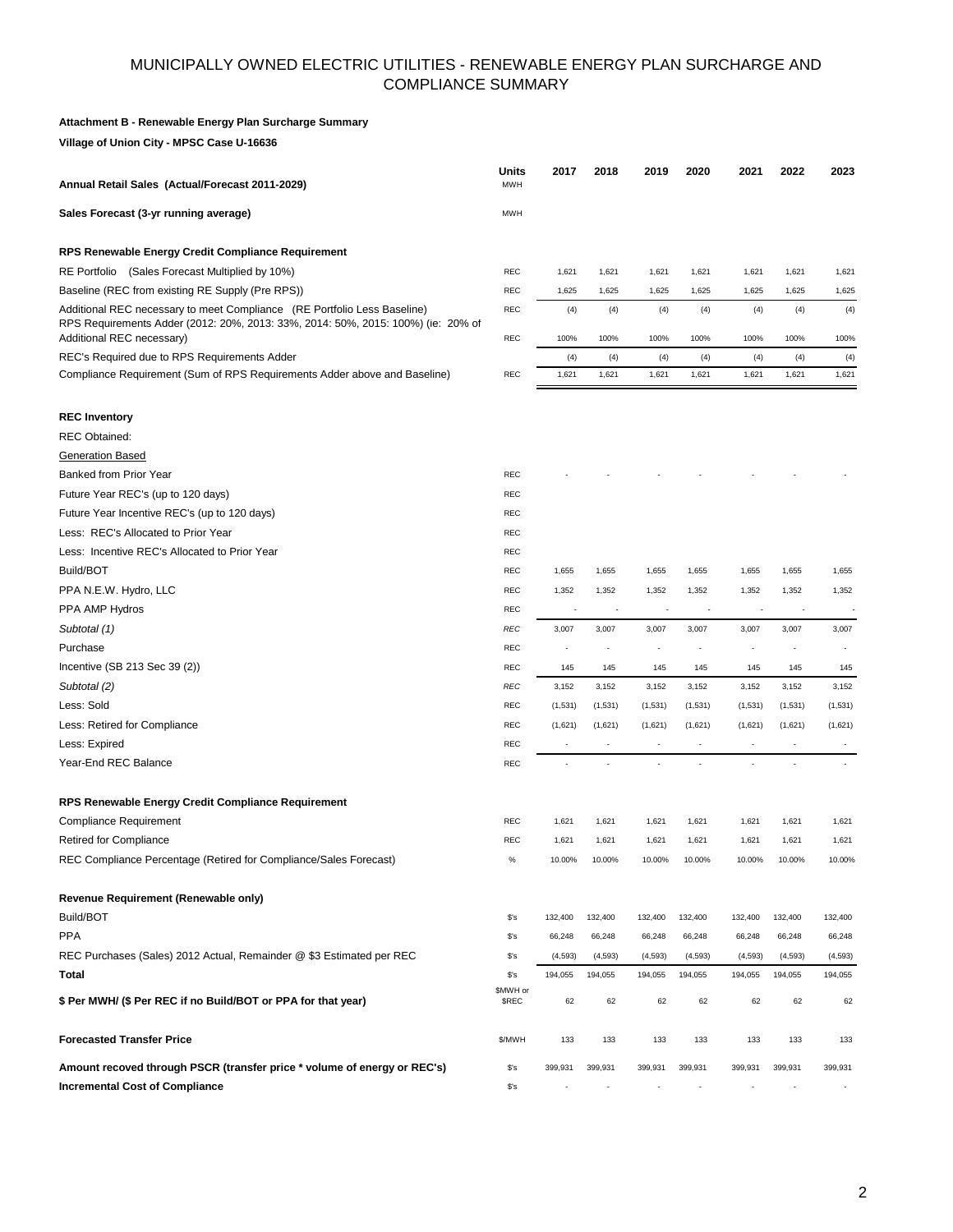### MUNICIPALLY OWNED ELECTRIC UTILITIES - RENEWABLE ENERGY PLAN SURCHARGE AND COMPLIANCE SUMMARY

#### **Attachment B - Renewable Energy Plan Surcharge Summary**

**Village of Union City - MPSC Case U-16636**

| Annual Retail Sales (Actual/Forecast 2011-2029)                                                                                                                                           | Units<br><b>MWH</b>      | 2017                     | 2018                     | 2019                     | 2020                     | 2021                     | 2022            | 2023            |
|-------------------------------------------------------------------------------------------------------------------------------------------------------------------------------------------|--------------------------|--------------------------|--------------------------|--------------------------|--------------------------|--------------------------|-----------------|-----------------|
| Sales Forecast (3-yr running average)                                                                                                                                                     | <b>MWH</b>               |                          |                          |                          |                          |                          |                 |                 |
| RPS Renewable Energy Credit Compliance Requirement                                                                                                                                        |                          |                          |                          |                          |                          |                          |                 |                 |
| RE Portfolio (Sales Forecast Multiplied by 10%)                                                                                                                                           | REC                      | 1,621                    | 1,621                    | 1,621                    | 1,621                    | 1,621                    | 1,621           | 1,621           |
| Baseline (REC from existing RE Supply (Pre RPS))                                                                                                                                          | <b>REC</b>               | 1,625                    | 1,625                    | 1,625                    | 1,625                    | 1,625                    | 1,625           | 1,625           |
| Additional REC necessary to meet Compliance (RE Portfolio Less Baseline)<br>RPS Requirements Adder (2012: 20%, 2013: 33%, 2014: 50%, 2015: 100%) (ie: 20% of<br>Additional REC necessary) | REC<br>REC               | (4)<br>100%              | (4)<br>100%              | (4)<br>100%              | (4)<br>100%              | (4)<br>100%              | (4)<br>100%     | (4)<br>100%     |
| REC's Required due to RPS Requirements Adder                                                                                                                                              |                          | (4)                      | (4)                      | (4)                      | (4)                      | (4)                      | (4)             | (4)             |
| Compliance Requirement (Sum of RPS Requirements Adder above and Baseline)                                                                                                                 | REC                      | 1,621                    | 1,621                    | 1,621                    | 1,621                    | 1,621                    | 1,621           | 1,621           |
| <b>REC Inventory</b>                                                                                                                                                                      |                          |                          |                          |                          |                          |                          |                 |                 |
| <b>REC Obtained:</b>                                                                                                                                                                      |                          |                          |                          |                          |                          |                          |                 |                 |
| <b>Generation Based</b>                                                                                                                                                                   |                          |                          |                          |                          |                          |                          |                 |                 |
| Banked from Prior Year                                                                                                                                                                    | <b>REC</b>               |                          |                          |                          |                          |                          |                 |                 |
| Future Year REC's (up to 120 days)                                                                                                                                                        | <b>REC</b>               |                          |                          |                          |                          |                          |                 |                 |
| Future Year Incentive REC's (up to 120 days)                                                                                                                                              | REC                      |                          |                          |                          |                          |                          |                 |                 |
| Less: REC's Allocated to Prior Year                                                                                                                                                       | REC                      |                          |                          |                          |                          |                          |                 |                 |
| Less: Incentive REC's Allocated to Prior Year                                                                                                                                             | <b>REC</b>               |                          |                          |                          |                          |                          |                 |                 |
| Build/BOT                                                                                                                                                                                 | <b>REC</b>               | 1,655                    | 1,655                    | 1,655                    | 1,655                    | 1,655                    | 1,655           | 1,655           |
| PPA N.E.W. Hydro, LLC                                                                                                                                                                     | REC                      | 1,352                    | 1,352                    | 1,352                    | 1,352                    | 1,352                    | 1,352           | 1,352           |
| PPA AMP Hydros                                                                                                                                                                            | REC                      |                          |                          |                          |                          |                          |                 |                 |
| Subtotal (1)                                                                                                                                                                              | <b>REC</b>               | 3,007                    | 3,007                    | 3,007                    | 3,007                    | 3,007                    | 3,007           | 3,007           |
| Purchase                                                                                                                                                                                  | REC                      |                          |                          |                          |                          |                          |                 |                 |
| Incentive (SB 213 Sec 39 (2))                                                                                                                                                             | REC                      | 145                      | 145                      | 145                      | 145                      | 145                      | 145             | 145             |
| Subtotal (2)                                                                                                                                                                              | REC                      | 3,152                    | 3,152                    | 3,152                    | 3,152                    | 3,152                    | 3,152           | 3,152           |
| Less: Sold                                                                                                                                                                                | <b>REC</b>               | (1, 531)                 | (1,531)                  | (1,531)                  | (1,531)                  | (1,531)                  | (1,531)         | (1,531)         |
| Less: Retired for Compliance                                                                                                                                                              | REC                      | (1,621)                  | (1,621)                  | (1,621)                  | (1,621)                  | (1,621)                  | (1,621)         | (1,621)         |
| Less: Expired                                                                                                                                                                             | <b>REC</b>               | $\overline{\phantom{a}}$ | $\overline{\phantom{a}}$ | $\overline{\phantom{a}}$ | $\overline{\phantom{a}}$ | $\overline{\phantom{a}}$ | $\overline{a}$  |                 |
| Year-End REC Balance                                                                                                                                                                      | <b>REC</b>               |                          |                          |                          | L.                       |                          |                 |                 |
| RPS Renewable Energy Credit Compliance Requirement                                                                                                                                        |                          |                          |                          |                          |                          |                          |                 |                 |
| <b>Compliance Requirement</b>                                                                                                                                                             | REC                      | 1,621                    | 1,621                    | 1,621                    | 1,621                    | 1,621                    | 1,621           | 1,621           |
| <b>Retired for Compliance</b><br>REC Compliance Percentage (Retired for Compliance/Sales Forecast)                                                                                        | REC                      | 1,621<br>10.00%          | 1,621<br>10.00%          | 1,621<br>10.00%          | 1,621<br>10.00%          | 1,621<br>10.00%          | 1,621<br>10.00% | 1,621<br>10.00% |
| Revenue Requirement (Renewable only)                                                                                                                                                      |                          |                          |                          |                          |                          |                          |                 |                 |
| Build/BOT                                                                                                                                                                                 | $s$ 's                   | 132,400                  | 132,400                  | 132,400                  | 132,400                  | 132,400                  | 132,400         | 132,400         |
| <b>PPA</b>                                                                                                                                                                                | $$^{\prime}$ s           | 66,248                   | 66,248                   | 66,248                   | 66,248                   | 66,248                   | 66,248          | 66,248          |
| REC Purchases (Sales) 2012 Actual, Remainder @ \$3 Estimated per REC                                                                                                                      | $$^{\prime}$ s           | (4, 593)                 | (4, 593)                 | (4, 593)                 | (4, 593)                 | (4, 593)                 | (4, 593)        | (4, 593)        |
| Total                                                                                                                                                                                     | $$^{\prime}$ s           | 194,055                  | 194,055                  | 194,055                  | 194,055                  | 194,055                  | 194,055         | 194,055         |
| \$ Per MWH/ (\$ Per REC if no Build/BOT or PPA for that year)                                                                                                                             | \$MWH or<br><b>\$REC</b> | 62                       | 62                       | 62                       | 62                       | 62                       | 62              | 62              |
| <b>Forecasted Transfer Price</b>                                                                                                                                                          | \$/MWH                   | 133                      | 133                      | 133                      | 133                      | 133                      | 133             | 133             |
| Amount recoved through PSCR (transfer price * volume of energy or REC's)                                                                                                                  | $$^{\prime}$ s           | 399,931                  | 399,931                  | 399,931                  | 399,931                  | 399,931                  | 399,931         | 399,931         |
| <b>Incremental Cost of Compliance</b>                                                                                                                                                     | $$^{\prime}$ s           |                          |                          |                          |                          |                          |                 |                 |